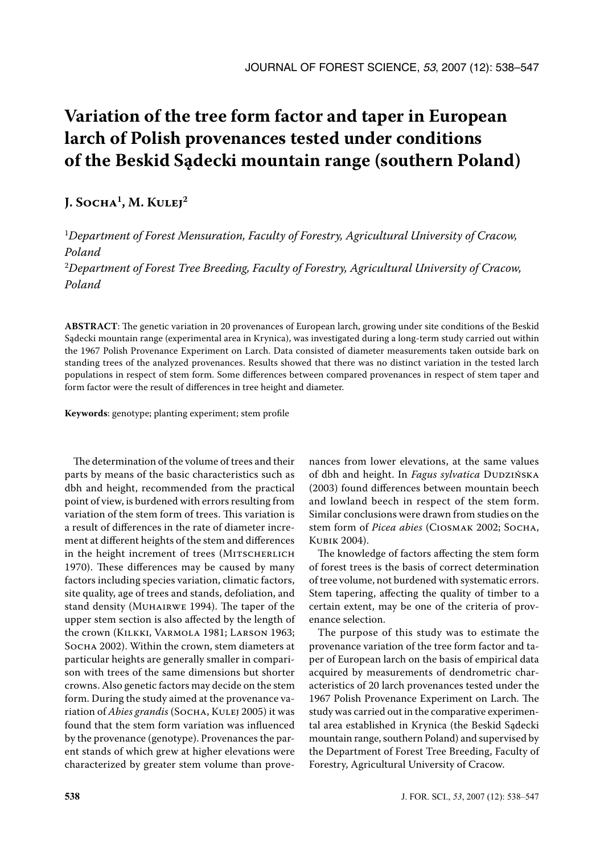# **Variation of the tree form factor and taper in European larch of Polish provenances tested under conditions of the Beskid Sądecki mountain range (southern Poland)**

# **J. Socha1, M. Kulej2**

1 *Department of Forest Mensuration, Faculty of Forestry, Agricultural University of Cracow, Poland*

2 *Department of Forest Tree Breeding, Faculty of Forestry, Agricultural University of Cracow, Poland*

**ABSTRACT**: The genetic variation in 20 provenances of European larch, growing under site conditions of the Beskid Sądecki mountain range (experimental area in Krynica), was investigated during a long-term study carried out within the 1967 Polish Provenance Experiment on Larch. Data consisted of diameter measurements taken outside bark on standing trees of the analyzed provenances. Results showed that there was no distinct variation in the tested larch populations in respect of stem form. Some differences between compared provenances in respect of stem taper and form factor were the result of differences in tree height and diameter.

**Keywords**: genotype; planting experiment; stem profile

The determination of the volume of trees and their parts by means of the basic characteristics such as dbh and height, recommended from the practical point of view, is burdened with errors resulting from variation of the stem form of trees. This variation is a result of differences in the rate of diameter increment at different heights of the stem and differences in the height increment of trees (MITSCHERLICH 1970). These differences may be caused by many factors including species variation, climatic factors, site quality, age of trees and stands, defoliation, and stand density (Muhairwe 1994). The taper of the upper stem section is also affected by the length of the crown (Kilkki, Varmola 1981; Larson 1963; Socha 2002). Within the crown, stem diameters at particular heights are generally smaller in comparison with trees of the same dimensions but shorter crowns. Also genetic factors may decide on the stem form. During the study aimed at the provenance variation of *Abies grandis* (Socha, Kulej 2005) it was found that the stem form variation was influenced by the provenance (genotype). Provenances the parent stands of which grew at higher elevations were characterized by greater stem volume than provenances from lower elevations, at the same values of dbh and height. In *Fagus sylvatica* DUDZIŃSKA (2003) found differences between mountain beech and lowland beech in respect of the stem form. Similar conclusions were drawn from studies on the stem form of *Picea abies* (Ciosmak 2002; Socha, KUBIK 2004).

The knowledge of factors affecting the stem form of forest trees is the basis of correct determination of tree volume, not burdened with systematic errors. Stem tapering, affecting the quality of timber to a certain extent, may be one of the criteria of provenance selection.

The purpose of this study was to estimate the provenance variation of the tree form factor and taper of European larch on the basis of empirical data acquired by measurements of dendrometric characteristics of 20 larch provenances tested under the 1967 Polish Provenance Experiment on Larch. The study was carried out in the comparative experimental area established in Krynica (the Beskid Sądecki mountain range, southern Poland) and supervised by the Department of Forest Tree Breeding, Faculty of Forestry, Agricultural University of Cracow.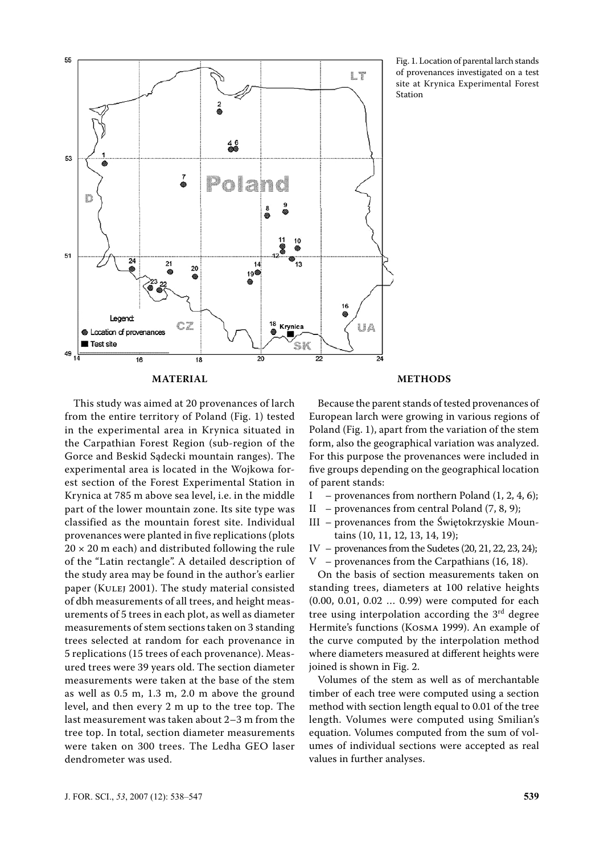

Fig. 1. Location of parental larch stands of provenances investigated on a test site at Krynica Experimental Forest Station

This study was aimed at 20 provenances of larch from the entire territory of Poland (Fig. 1) tested in the experimental area in Krynica situated in the Carpathian Forest Region (sub-region of the Gorce and Beskid Sądecki mountain ranges). The experimental area is located in the Wojkowa forest section of the Forest Experimental Station in Krynica at 785 m above sea level, i.e. in the middle part of the lower mountain zone. Its site type was classified as the mountain forest site. Individual provenances were planted in five replications (plots  $20 \times 20$  m each) and distributed following the rule of the "Latin rectangle". A detailed description of the study area may be found in the author's earlier paper (KULEJ 2001). The study material consisted of dbh measurements of all trees, and height measurements of 5 trees in each plot, as well as diameter measurements of stem sections taken on 3 standing trees selected at random for each provenance in 5 replications (15 trees of each provenance). Measured trees were 39 years old. The section diameter measurements were taken at the base of the stem as well as 0.5 m, 1.3 m, 2.0 m above the ground level, and then every 2 m up to the tree top. The last measurement was taken about 2–3 m from the tree top. In total, section diameter measurements were taken on 300 trees. The Ledha GEO laser dendrometer was used.

#### **METHODS**

Because the parent stands of tested provenances of European larch were growing in various regions of Poland (Fig. 1), apart from the variation of the stem form, also the geographical variation was analyzed. For this purpose the provenances were included in five groups depending on the geographical location of parent stands:

- I provenances from northern Poland  $(1, 2, 4, 6)$ ;
- II provenances from central Poland  $(7, 8, 9)$ ;
- III provenances from the Świętokrzyskie Mountains (10, 11, 12, 13, 14, 19);
- IV provenances from the Sudetes (20, 21, 22, 23, 24);
- V provenances from the Carpathians (16, 18).

On the basis of section measurements taken on standing trees, diameters at 100 relative heights (0.00, 0.01, 0.02 … 0.99) were computed for each tree using interpolation according the  $3<sup>rd</sup>$  degree Hermite's functions (Kosma 1999). An example of the curve computed by the interpolation method where diameters measured at different heights were joined is shown in Fig. 2.

Volumes of the stem as well as of merchantable timber of each tree were computed using a section method with section length equal to 0.01 of the tree length. Volumes were computed using Smilian's equation. Volumes computed from the sum of volumes of individual sections were accepted as real values in further analyses.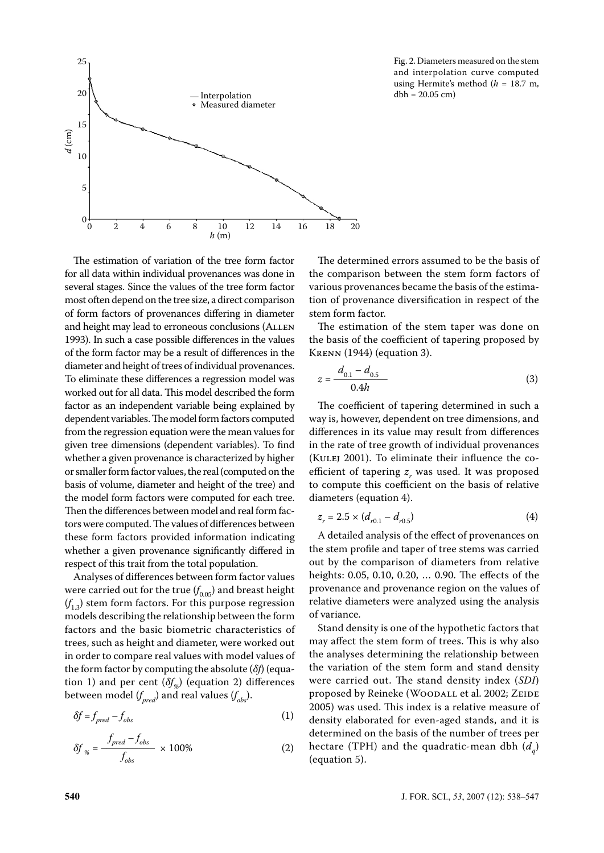

Fig. 2. Diameters measured on the stem and interpolation curve computed using Hermite's method (*h* = 18.7 m,  $dbh = 20.05$  cm)

The estimation of variation of the tree form factor for all data within individual provenances was done in several stages. Since the values of the tree form factor most often depend on the tree size, a direct comparison of form factors of provenances differing in diameter and height may lead to erroneous conclusions (Allen 1993). In such a case possible differences in the values of the form factor may be a result of differences in the diameter and height of trees of individual provenances. To eliminate these differences a regression model was worked out for all data. This model described the form factor as an independent variable being explained by dependent variables. The model form factors computed from the regression equation were the mean values for given tree dimensions (dependent variables). To find whether a given provenance is characterized by higher or smaller form factor values, the real (computed on the basis of volume, diameter and height of the tree) and the model form factors were computed for each tree. Then the differences between model and real form factors were computed. The values of differences between these form factors provided information indicating whether a given provenance significantly differed in respect of this trait from the total population.

Analyses of differences between form factor values were carried out for the true  $(f_{0.05})$  and breast height  $(f_{1,3})$  stem form factors. For this purpose regression models describing the relationship between the form factors and the basic biometric characteristics of trees, such as height and diameter, were worked out in order to compare real values with model values of the form factor by computing the absolute (*δf*) (equation 1) and per cent  $(\delta f_{\alpha})$  (equation 2) differences between model  $(f_{\textit{pred}})$  and real values  $(f_{\textit{obs}})$ .

$$
\delta f = f_{pred} - f_{obs} \tag{1}
$$

$$
\delta f_{\%} = \frac{f_{pred} - f_{obs}}{f_{obs}} \times 100\%
$$
 (2)

The determined errors assumed to be the basis of the comparison between the stem form factors of various provenances became the basis of the estimation of provenance diversification in respect of the stem form factor.

The estimation of the stem taper was done on the basis of the coefficient of tapering proposed by Krenn (1944) (equation 3).

$$
z = \frac{d_{0.1} - d_{0.5}}{0.4h}
$$
 (3)

The coefficient of tapering determined in such a way is, however, dependent on tree dimensions, and differences in its value may result from differences in the rate of tree growth of individual provenances (Kulej 2001). To eliminate their influence the coefficient of tapering z<sub>r</sub> was used. It was proposed to compute this coefficient on the basis of relative diameters (equation 4).

$$
z_r = 2.5 \times (d_{r0.1} - d_{r0.5})
$$
 (4)

A detailed analysis of the effect of provenances on the stem profile and taper of tree stems was carried out by the comparison of diameters from relative heights: 0.05, 0.10, 0.20, … 0.90. The effects of the provenance and provenance region on the values of relative diameters were analyzed using the analysis of variance.

Stand density is one of the hypothetic factors that may affect the stem form of trees. This is why also the analyses determining the relationship between the variation of the stem form and stand density were carried out. The stand density index (*SDI*) proposed by Reineke (WOODALL et al. 2002; ZEIDE 2005) was used. This index is a relative measure of density elaborated for even-aged stands, and it is determined on the basis of the number of trees per hectare (TPH) and the quadratic-mean dbh (*d q*) (equation 5).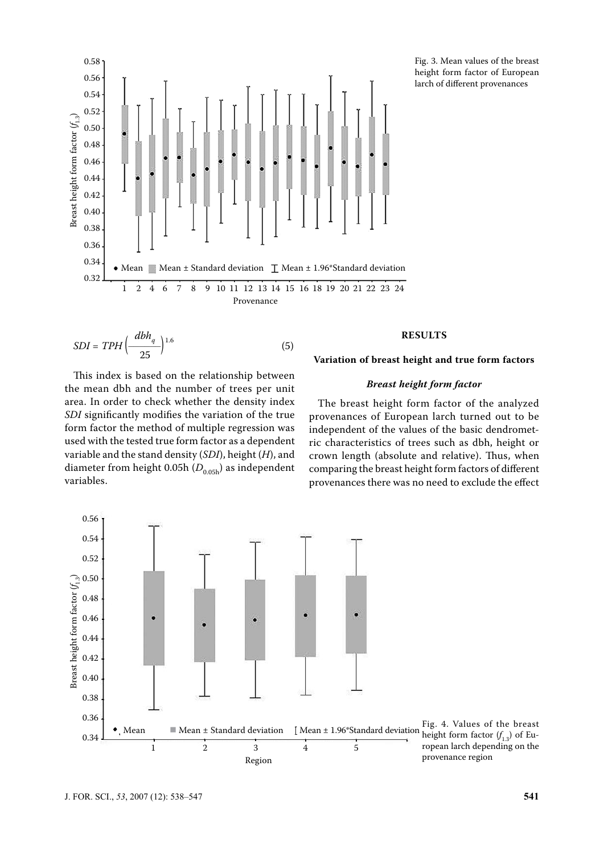

Fig. 3. Mean values of the breast height form factor of European larch of different provenances

$$
SDI = TPH\left(\frac{dbh_q}{25}\right)^{1.6}
$$
\n(5)

This index is based on the relationship between the mean dbh and the number of trees per unit area. In order to check whether the density index *SDI* significantly modifies the variation of the true form factor the method of multiple regression was used with the tested true form factor as a dependent variable and the stand density (*SDI*), height (*H*), and diameter from height 0.05h ( $D<sub>0.05h</sub>$ ) as independent variables.

#### **RESULTS**

#### **Variation of breast height and true form factors**

#### *Breast height form factor*

The breast height form factor of the analyzed provenances of European larch turned out to be independent of the values of the basic dendrometric characteristics of trees such as dbh, height or crown length (absolute and relative). Thus, when comparing the breast height form factors of different provenances there was no need to exclude the effect



Fig. 4. Values of the breast height form factor  $(f_{1,3})$  of European larch depending on the provenance region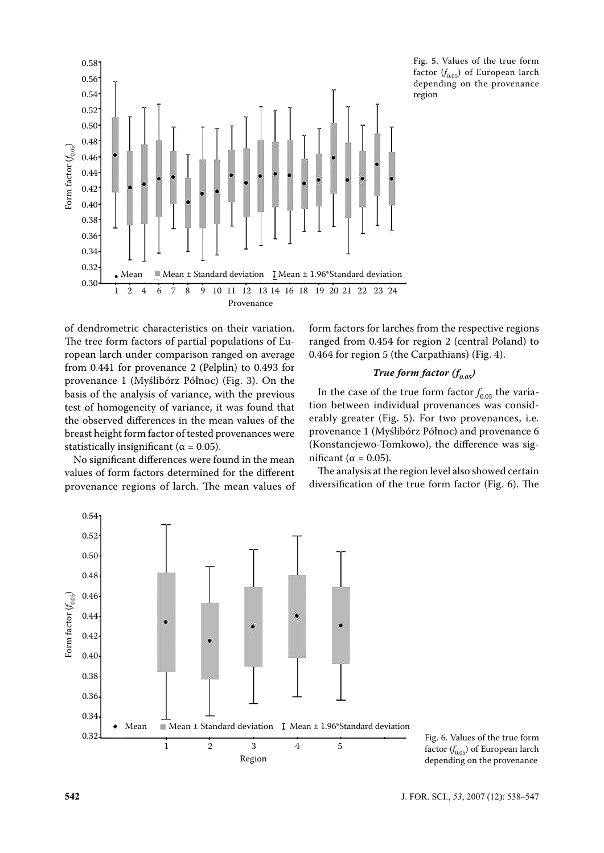

Fig. 5. Values of the true form factor  $(f_{0.05})$  of European larch depending on the provenance region

of dendrometric characteristics on their variation. The tree form factors of partial populations of European larch under comparison ranged on average from 0.441 for provenance 2 (Pelplin) to 0.493 for provenance 1 (Myślibórz Północ) (Fig. 3). On the basis of the analysis of variance, with the previous test of homogeneity of variance, it was found that the observed differences in the mean values of the breast height form factor of tested provenances were statistically insignificant ( $\alpha = 0.05$ ).

No significant differences were found in the mean values of form factors determined for the different provenance regions of larch. The mean values of form factors for larches from the respective regions ranged from 0.454 for region 2 (central Poland) to 0.464 for region 5 (the Carpathians) (Fig. 4).

### *True form factor*  $(f_{0.05})$

In the case of the true form factor  $f_{0.05}$  the variation between individual provenances was considerably greater (Fig. 5). For two provenances, i.e. provenance 1 (Myślibórz Północ) and provenance 6 (Konstancjewo-Tomkowo), the difference was significant ( $α = 0.05$ ).

The analysis at the region level also showed certain diversification of the true form factor (Fig. 6). The



Fig. 6. Values of the true form factor  $(f_{0.05})$  of European larch depending on the provenance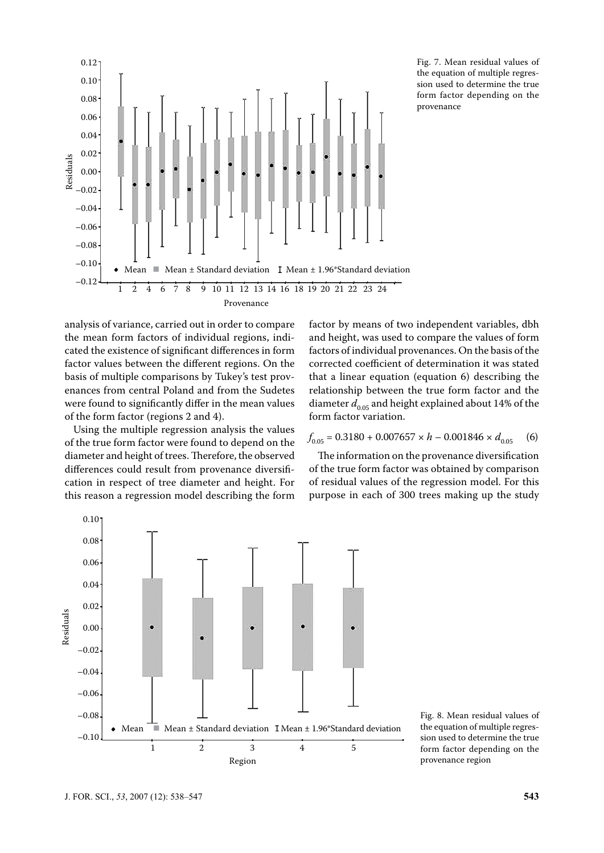

Fig. 7. Mean residual values of the equation of multiple regression used to determine the true form factor depending on the provenance

analysis of variance, carried out in order to compare the mean form factors of individual regions, indicated the existence of significant differences in form factor values between the different regions. On the basis of multiple comparisons by Tukey's test provenances from central Poland and from the Sudetes were found to significantly differ in the mean values of the form factor (regions 2 and 4).

Using the multiple regression analysis the values of the true form factor were found to depend on the diameter and height of trees. Therefore, the observed differences could result from provenance diversification in respect of tree diameter and height. For this reason a regression model describing the form factor by means of two independent variables, dbh and height, was used to compare the values of form factors of individual provenances. On the basis of the corrected coefficient of determination it was stated that a linear equation (equation 6) describing the relationship between the true form factor and the diameter  $d_{0.05}$  and height explained about 14% of the form factor variation.

### $f_{0.05} = 0.3180 + 0.007657 \times h - 0.001846 \times d_{0.05}$  (6)

The information on the provenance diversification of the true form factor was obtained by comparison of residual values of the regression model. For this purpose in each of 300 trees making up the study



Fig. 8. Mean residual values of the equation of multiple regression used to determine the true form factor depending on the provenance region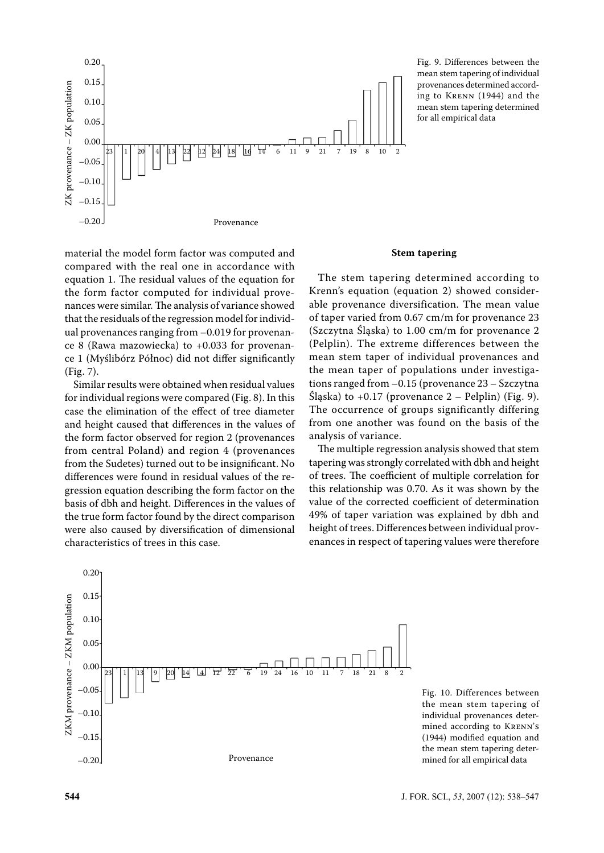

Fig. 9. Differences between the mean stem tapering of individual provenances determined according to Krenn (1944) and the mean stem tapering determined for all empirical data

material the model form factor was computed and compared with the real one in accordance with equation 1. The residual values of the equation for the form factor computed for individual provenances were similar. The analysis of variance showed that the residuals of the regression model for individual provenances ranging from –0.019 for provenance 8 (Rawa mazowiecka) to +0.033 for provenance 1 (Myślibórz Północ) did not differ significantly (Fig. 7).

Similar results were obtained when residual values for individual regions were compared (Fig. 8). In this case the elimination of the effect of tree diameter and height caused that differences in the values of the form factor observed for region 2 (provenances from central Poland) and region 4 (provenances from the Sudetes) turned out to be insignificant. No differences were found in residual values of the regression equation describing the form factor on the basis of dbh and height. Differences in the values of the true form factor found by the direct comparison were also caused by diversification of dimensional characteristics of trees in this case.

#### **Stem tapering**

The stem tapering determined according to Krenn's equation (equation 2) showed considerable provenance diversification. The mean value of taper varied from 0.67 cm/m for provenance 23 (Szczytna Śląska) to 1.00 cm/m for provenance 2 (Pelplin). The extreme differences between the mean stem taper of individual provenances and the mean taper of populations under investigations ranged from –0.15 (provenance 23 – Szczytna Śląska) to +0.17 (provenance 2 – Pelplin) (Fig. 9). The occurrence of groups significantly differing from one another was found on the basis of the analysis of variance.

The multiple regression analysis showed that stem tapering was strongly correlated with dbh and height of trees. The coefficient of multiple correlation for this relationship was 0.70. As it was shown by the value of the corrected coefficient of determination 49% of taper variation was explained by dbh and height of trees. Differences between individual provenances in respect of tapering values were therefore



Fig. 10. Differences between the mean stem tapering of individual provenances determined according to Krenn's (1944) modified equation and the mean stem tapering determined for all empirical data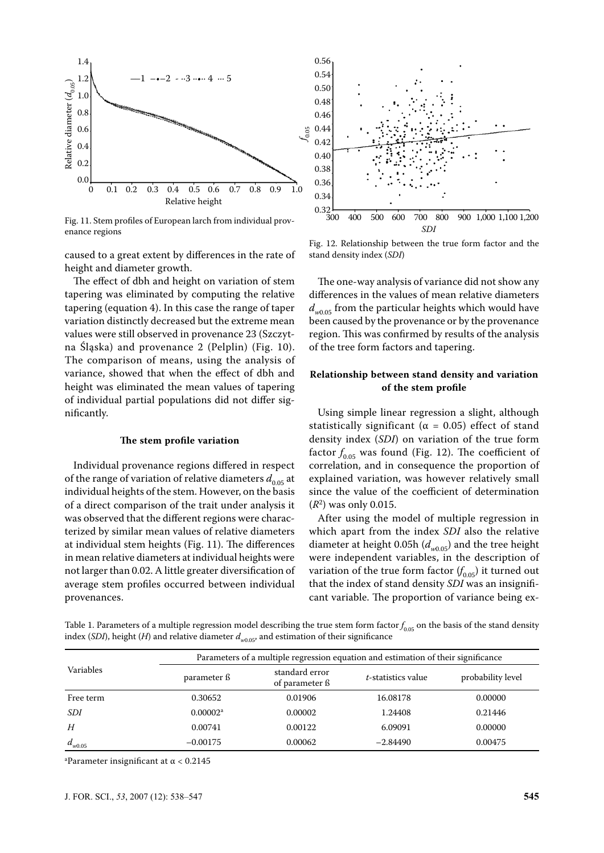

Fig. 11. Stem profiles of European larch from individual provenance regions

caused to a great extent by differences in the rate of height and diameter growth.

The effect of dbh and height on variation of stem tapering was eliminated by computing the relative tapering (equation 4). In this case the range of taper variation distinctly decreased but the extreme mean values were still observed in provenance 23 (Szczytna Śląska) and provenance 2 (Pelplin) (Fig. 10). The comparison of means, using the analysis of variance, showed that when the effect of dbh and height was eliminated the mean values of tapering of individual partial populations did not differ significantly.

#### **The stem profile variation**

Individual provenance regions differed in respect of the range of variation of relative diameters  $d_{0.05}$  at individual heights of the stem. However, on the basis of a direct comparison of the trait under analysis it was observed that the different regions were characterized by similar mean values of relative diameters at individual stem heights (Fig. 11). The differences in mean relative diameters at individual heights were not larger than 0.02. A little greater diversification of average stem profiles occurred between individual provenances.



Fig. 12. Relationship between the true form factor and the stand density index (*SDI*)

The one-way analysis of variance did not show any differences in the values of mean relative diameters  $d_{w0.05}$  from the particular heights which would have been caused by the provenance or by the provenance region. This was confirmed by results of the analysis of the tree form factors and tapering.

#### **Relationship between stand density and variation of the stem profile**

Using simple linear regression a slight, although statistically significant ( $\alpha = 0.05$ ) effect of stand density index (*SDI*) on variation of the true form factor  $f_{0.05}$  was found (Fig. 12). The coefficient of correlation, and in consequence the proportion of explained variation, was however relatively small since the value of the coefficient of determination (*R*<sup>2</sup> ) was only 0.015.

After using the model of multiple regression in which apart from the index *SDI* also the relative diameter at height 0.05h ( $d_{w0.05}$ ) and the tree height were independent variables, in the description of variation of the true form factor  $(f_{0.05})$  it turned out that the index of stand density *SDI* was an insignificant variable. The proportion of variance being ex-

Table 1. Parameters of a multiple regression model describing the true stem form factor  $f_{0.05}$  on the basis of the stand density index (*SDI*), height (*H*) and relative diameter  $d_{w0.05}$ , and estimation of their significance

| Variables   | Parameters of a multiple regression equation and estimation of their significance |                                  |                    |                   |
|-------------|-----------------------------------------------------------------------------------|----------------------------------|--------------------|-------------------|
|             | parameter ß                                                                       | standard error<br>of parameter ß | t-statistics value | probability level |
| Free term   | 0.30652                                                                           | 0.01906                          | 16.08178           | 0.00000           |
| <i>SDI</i>  | $0.00002$ <sup>a</sup>                                                            | 0.00002                          | 1.24408            | 0.21446           |
| H           | 0.00741                                                                           | 0.00122                          | 6.09091            | 0.00000           |
| $d_{w0.05}$ | $-0.00175$                                                                        | 0.00062                          | $-2.84490$         | 0.00475           |

a Parameter insignificant at α < 0.2145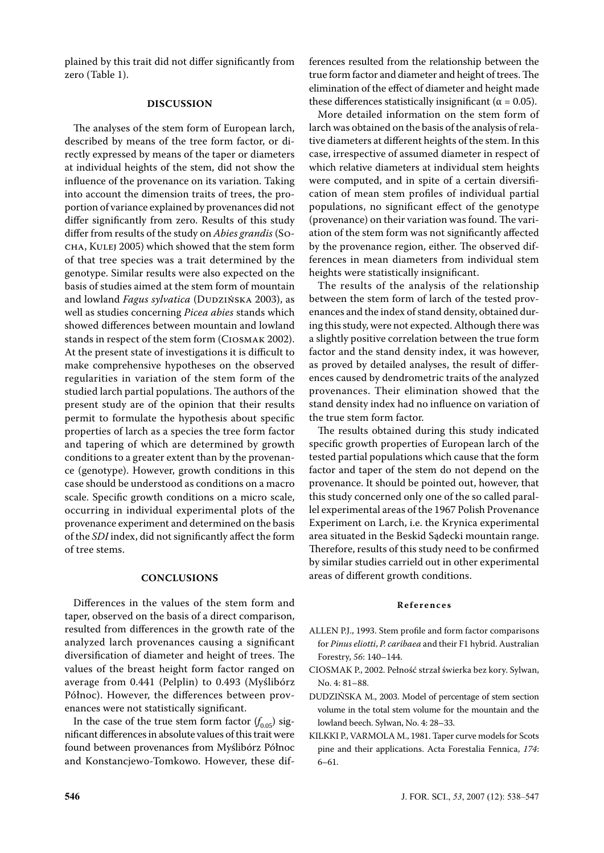plained by this trait did not differ significantly from zero (Table 1).

#### **DISCUSSION**

The analyses of the stem form of European larch, described by means of the tree form factor, or directly expressed by means of the taper or diameters at individual heights of the stem, did not show the influence of the provenance on its variation. Taking into account the dimension traits of trees, the proportion of variance explained by provenances did not differ significantly from zero. Results of this study differ from results of the study on *Abies grandis* (Socha, Kulej 2005) which showed that the stem form of that tree species was a trait determined by the genotype. Similar results were also expected on the basis of studies aimed at the stem form of mountain and lowland *Fagus sylvatica* (DUDZIŃSKA 2003), as well as studies concerning *Picea abies* stands which showed differences between mountain and lowland stands in respect of the stem form (Ciosmak 2002). At the present state of investigations it is difficult to make comprehensive hypotheses on the observed regularities in variation of the stem form of the studied larch partial populations. The authors of the present study are of the opinion that their results permit to formulate the hypothesis about specific properties of larch as a species the tree form factor and tapering of which are determined by growth conditions to a greater extent than by the provenance (genotype). However, growth conditions in this case should be understood as conditions on a macro scale. Specific growth conditions on a micro scale, occurring in individual experimental plots of the provenance experiment and determined on the basis of the *SDI* index, did not significantly affect the form of tree stems.

#### **CONCLUSIONS**

Differences in the values of the stem form and taper, observed on the basis of a direct comparison, resulted from differences in the growth rate of the analyzed larch provenances causing a significant diversification of diameter and height of trees. The values of the breast height form factor ranged on average from 0.441 (Pelplin) to 0.493 (Myślibórz Północ). However, the differences between provenances were not statistically significant.

In the case of the true stem form factor  $(f_{0.05})$  significant differences in absolute values of this trait were found between provenances from Myślibórz Północ and Konstancjewo-Tomkowo. However, these differences resulted from the relationship between the true form factor and diameter and height of trees. The elimination of the effect of diameter and height made these differences statistically insignificant ( $\alpha = 0.05$ ).

More detailed information on the stem form of larch was obtained on the basis of the analysis of relative diameters at different heights of the stem. In this case, irrespective of assumed diameter in respect of which relative diameters at individual stem heights were computed, and in spite of a certain diversification of mean stem profiles of individual partial populations, no significant effect of the genotype (provenance) on their variation was found. The variation of the stem form was not significantly affected by the provenance region, either. The observed differences in mean diameters from individual stem heights were statistically insignificant.

The results of the analysis of the relationship between the stem form of larch of the tested provenances and the index of stand density, obtained during this study, were not expected. Although there was a slightly positive correlation between the true form factor and the stand density index, it was however, as proved by detailed analyses, the result of differences caused by dendrometric traits of the analyzed provenances. Their elimination showed that the stand density index had no influence on variation of the true stem form factor.

The results obtained during this study indicated specific growth properties of European larch of the tested partial populations which cause that the form factor and taper of the stem do not depend on the provenance. It should be pointed out, however, that this study concerned only one of the so called parallel experimental areas of the 1967 Polish Provenance Experiment on Larch, i.e. the Krynica experimental area situated in the Beskid Sądecki mountain range. Therefore, results of this study need to be confirmed by similar studies carrield out in other experimental areas of different growth conditions.

#### **R e f e r e n c e s**

- ALLEN P.J., 1993. Stem profile and form factor comparisons for *Pinus eliotti*, *P. caribaea* and their F1 hybrid. Australian Forestry, *56*: 140–144.
- CIOSMAK P., 2002. Pełność strzał świerka bez kory. Sylwan, No. 4: 81–88.
- DUDZIŃSKA M., 2003. Model of percentage of stem section volume in the total stem volume for the mountain and the lowland beech. Sylwan, No. 4: 28–33.
- KILKKI P., VARMOLA M., 1981. Taper curve models for Scots pine and their applications. Acta Forestalia Fennica, *174*: 6–61.